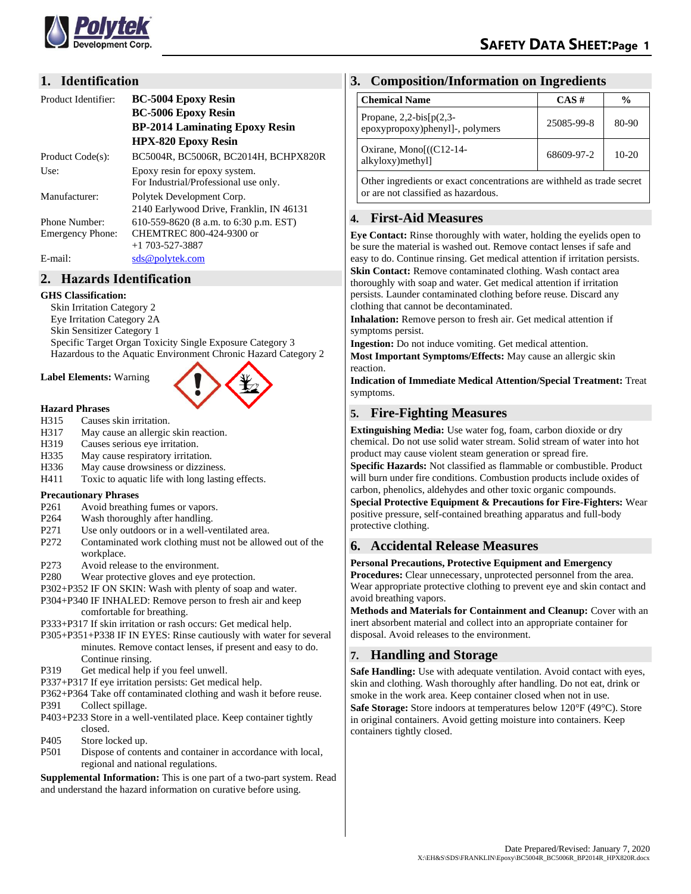

## **1. Identification**

| Product Identifier:     | <b>BC-5004 Epoxy Resin</b><br><b>BC-5006 Epoxy Resin</b><br><b>BP-2014 Laminating Epoxy Resin</b><br><b>HPX-820 Epoxy Resin</b> |
|-------------------------|---------------------------------------------------------------------------------------------------------------------------------|
| Product Code(s):        | BC5004R, BC5006R, BC2014H, BCHPX820R                                                                                            |
| Use:                    | Epoxy resin for epoxy system.<br>For Industrial/Professional use only.                                                          |
| Manufacturer:           | Polytek Development Corp.<br>2140 Earlywood Drive, Franklin, IN 46131                                                           |
| Phone Number:           | 610-559-8620 (8 a.m. to 6:30 p.m. EST)                                                                                          |
| <b>Emergency Phone:</b> | CHEMTREC 800-424-9300 or                                                                                                        |
|                         | $+1$ 703-527-3887                                                                                                               |
| E-mail:                 | sds@polytek.com                                                                                                                 |

# **2. Hazards Identification**

### **GHS Classification:**

Skin Irritation Category 2 Eye Irritation Category 2A Skin Sensitizer Category 1 Specific Target Organ Toxicity Single Exposure Category 3 Hazardous to the Aquatic Environment Chronic Hazard Category 2

### **Label Elements:** Warning



### **Hazard Phrases**

- H315 Causes skin irritation.
- H317 May cause an allergic skin reaction.
- H319 Causes serious eye irritation.
- H335 May cause respiratory irritation.
- H336 May cause drowsiness or dizziness.
- H411 Toxic to aquatic life with long lasting effects.

### **Precautionary Phrases**

- P261 Avoid breathing fumes or vapors.
- P264 Wash thoroughly after handling.
- P271 Use only outdoors or in a well-ventilated area.
- P272 Contaminated work clothing must not be allowed out of the workplace.
- P273 Avoid release to the environment.
- P280 Wear protective gloves and eye protection.
- P302+P352 IF ON SKIN: Wash with plenty of soap and water.
- P304+P340 IF INHALED: Remove person to fresh air and keep comfortable for breathing.
- P333+P317 If skin irritation or rash occurs: Get medical help.
- P305+P351+P338 IF IN EYES: Rinse cautiously with water for several minutes. Remove contact lenses, if present and easy to do. Continue rinsing.
- P319 Get medical help if you feel unwell.
- P337+P317 If eye irritation persists: Get medical help.
- P362+P364 Take off contaminated clothing and wash it before reuse.
- P391 Collect spillage.
- P403+P233 Store in a well-ventilated place. Keep container tightly closed.
- P405 Store locked up.
- P501 Dispose of contents and container in accordance with local, regional and national regulations.

**Supplemental Information:** This is one part of a two-part system. Read and understand the hazard information on curative before using.

### **3. Composition/Information on Ingredients**

| <b>Chemical Name</b>                                         | $CAS \#$   | $\frac{6}{9}$ |
|--------------------------------------------------------------|------------|---------------|
| Propane, $2,2-bis[p(2,3-$<br>epoxypropoxy)phenyl]-, polymers | 25085-99-8 | 80-90         |
| Oxirane, Mono $((C12-14-$<br>alkyloxy) methyl                | 68609-97-2 | $10-20$       |

Other ingredients or exact concentrations are withheld as trade secret or are not classified as hazardous.

## **4. First-Aid Measures**

**Eye Contact:** Rinse thoroughly with water, holding the eyelids open to be sure the material is washed out. Remove contact lenses if safe and easy to do. Continue rinsing. Get medical attention if irritation persists. **Skin Contact:** Remove contaminated clothing. Wash contact area thoroughly with soap and water. Get medical attention if irritation persists. Launder contaminated clothing before reuse. Discard any clothing that cannot be decontaminated.

**Inhalation:** Remove person to fresh air. Get medical attention if symptoms persist.

**Ingestion:** Do not induce vomiting. Get medical attention.

**Most Important Symptoms/Effects:** May cause an allergic skin reaction.

**Indication of Immediate Medical Attention/Special Treatment:** Treat symptoms.

## **5. Fire-Fighting Measures**

**Extinguishing Media:** Use water fog, foam, carbon dioxide or dry chemical. Do not use solid water stream. Solid stream of water into hot product may cause violent steam generation or spread fire.

**Specific Hazards:** Not classified as flammable or combustible. Product will burn under fire conditions. Combustion products include oxides of carbon, phenolics, aldehydes and other toxic organic compounds.

**Special Protective Equipment & Precautions for Fire-Fighters:** Wear positive pressure, self-contained breathing apparatus and full-body protective clothing.

## **6. Accidental Release Measures**

#### **Personal Precautions, Protective Equipment and Emergency**

**Procedures:** Clear unnecessary, unprotected personnel from the area. Wear appropriate protective clothing to prevent eye and skin contact and avoid breathing vapors.

**Methods and Materials for Containment and Cleanup:** Cover with an inert absorbent material and collect into an appropriate container for disposal. Avoid releases to the environment.

## **7. Handling and Storage**

**Safe Handling:** Use with adequate ventilation. Avoid contact with eyes, skin and clothing. Wash thoroughly after handling. Do not eat, drink or smoke in the work area. Keep container closed when not in use. **Safe Storage:** Store indoors at temperatures below 120°F (49°C). Store in original containers. Avoid getting moisture into containers. Keep containers tightly closed.